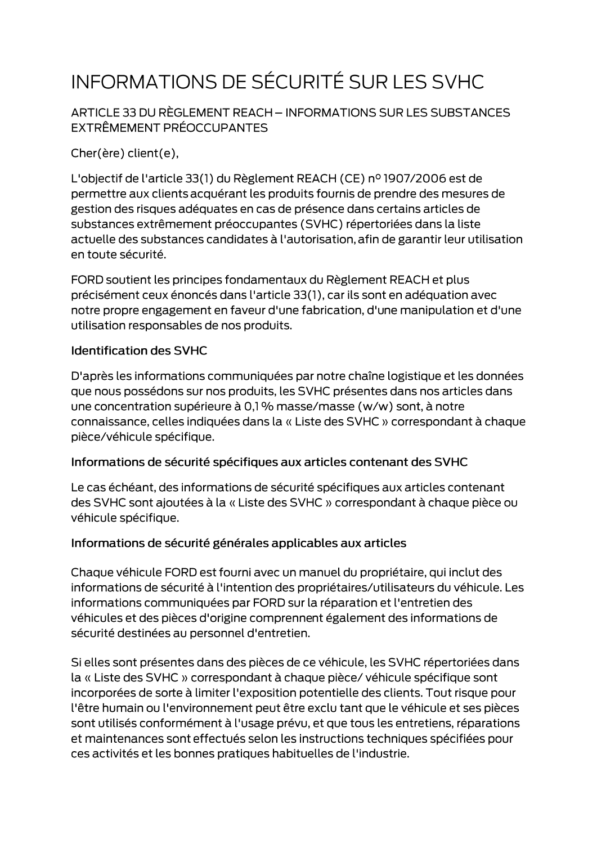# INFORMATIONS DE SÉCURITÉ SUR LES SVHC

ARTICLE 33 DU RÈGLEMENT REACH - INFORMATIONS SUR LES SUBSTANCES EXTRÊMEMENT PRÉOCCUPANTES

Cher(ère) client(e),

L'objectif de l'article 33(1) du Règlement REACH (CE) nº 1907/2006 est de permettre aux clients acquérant les produits fournis de prendre des mesures de gestion des risques adéquates en cas de présence dans certains articles de substances extrêmement préoccupantes (SVHC) répertoriées dans la liste actuelle des substances candidates à l'autorisation, afin de garantir leur utilisation en toute sécurité.

FORD soutient les principes fondamentaux du Règlement REACH et plus précisément ceux énoncés dans l'article 33(1), car ils sont en adéquation avec notre propre engagement en faveur d'une fabrication, d'une manipulation et d'une utilisation responsables de nos produits.

#### **Identification des SVHC**

D'après les informations communiquées par notre chaîne logistique et les données que nous possédons sur nos produits, les SVHC présentes dans nos articles dans une concentration supérieure à 0,1 % masse/masse (w/w) sont, à notre connaissance, celles indiquées dans la « Liste des SVHC » correspondant à chaque pièce/véhicule spécifique.

#### Informations de sécurité spécifiques aux articles contenant des SVHC

Le cas échéant, des informations de sécurité spécifiques aux articles contenant des SVHC sont ajoutées à la « Liste des SVHC » correspondant à chaque pièce ou véhicule spécifique.

### Informations de sécurité générales applicables aux articles

Chaque véhicule FORD est fourni avec un manuel du propriétaire, qui inclut des informations de sécurité à l'intention des propriétaires/utilisateurs du véhicule. Les informations communiquées par FORD sur la réparation et l'entretien des véhicules et des pièces d'origine comprennent également des informations de sécurité destinées au personnel d'entretien.

Si elles sont présentes dans des pièces de ce véhicule, les SVHC répertoriées dans la « Liste des SVHC » correspondant à chaque pièce/ véhicule spécifique sont incorporées de sorte à limiter l'exposition potentielle des clients. Tout risque pour l'être humain ou l'environnement peut être exclu tant que le véhicule et ses pièces sont utilisés conformément à l'usage prévu, et que tous les entretiens, réparations et maintenances sont effectués selon les instructions techniques spécifiées pour ces activités et les bonnes pratiques habituelles de l'industrie.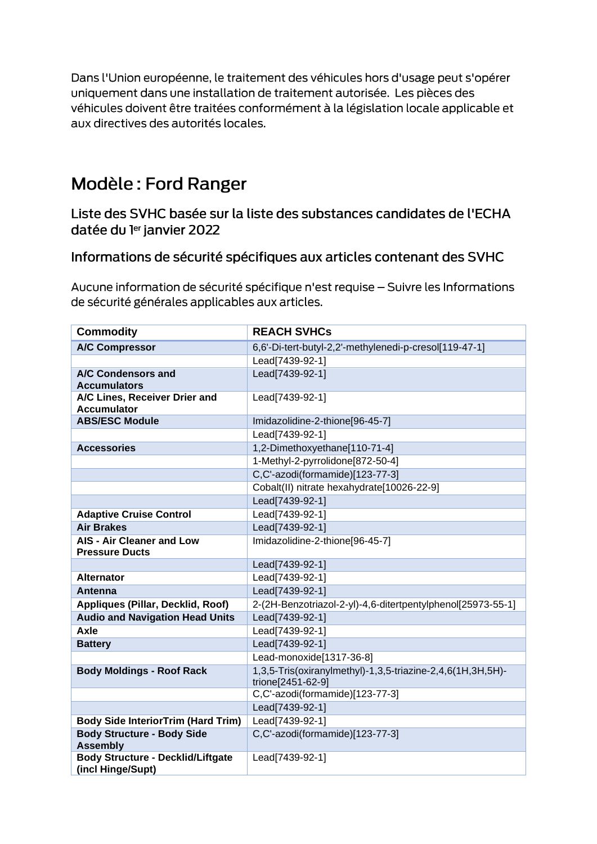Dans l'Union européenne, le traitement des véhicules hors d'usage peut s'opérer uniquement dans une installation de traitement autorisée. Les pièces des véhicules doivent être traitées conformément à la législation locale applicable et aux directives des autorités locales.

# Modèle: Ford Ranger

Liste des SVHC basée sur la liste des substances candidates de l'ECHA datée du ler janvier 2022

## Informations de sécurité spécifiques aux articles contenant des SVHC

Aucune information de sécurité spécifique n'est requise - Suivre les Informations de sécurité générales applicables aux articles.

| <b>Commodity</b>                                              | <b>REACH SVHCs</b>                                                              |
|---------------------------------------------------------------|---------------------------------------------------------------------------------|
| <b>A/C Compressor</b>                                         | 6,6'-Di-tert-butyl-2,2'-methylenedi-p-cresol[119-47-1]                          |
|                                                               | Lead[7439-92-1]                                                                 |
| A/C Condensors and<br><b>Accumulators</b>                     | Lead[7439-92-1]                                                                 |
| A/C Lines, Receiver Drier and<br><b>Accumulator</b>           | Lead[7439-92-1]                                                                 |
| <b>ABS/ESC Module</b>                                         | Imidazolidine-2-thione[96-45-7]                                                 |
|                                                               | Lead[7439-92-1]                                                                 |
| <b>Accessories</b>                                            | 1,2-Dimethoxyethane[110-71-4]                                                   |
|                                                               | 1-Methyl-2-pyrrolidone[872-50-4]                                                |
|                                                               | C,C'-azodi(formamide)[123-77-3]                                                 |
|                                                               | Cobalt(II) nitrate hexahydrate[10026-22-9]                                      |
|                                                               | Lead[7439-92-1]                                                                 |
| <b>Adaptive Cruise Control</b>                                | Lead[7439-92-1]                                                                 |
| <b>Air Brakes</b>                                             | Lead[7439-92-1]                                                                 |
| <b>AIS - Air Cleaner and Low</b><br><b>Pressure Ducts</b>     | Imidazolidine-2-thione[96-45-7]                                                 |
|                                                               | Lead[7439-92-1]                                                                 |
| <b>Alternator</b>                                             | Lead[7439-92-1]                                                                 |
| Antenna                                                       | Lead[7439-92-1]                                                                 |
| <b>Appliques (Pillar, Decklid, Roof)</b>                      | 2-(2H-Benzotriazol-2-yl)-4,6-ditertpentylphenol[25973-55-1]                     |
| <b>Audio and Navigation Head Units</b>                        | Lead[7439-92-1]                                                                 |
| Axle                                                          | Lead[7439-92-1]                                                                 |
| <b>Battery</b>                                                | Lead[7439-92-1]                                                                 |
|                                                               | Lead-monoxide[1317-36-8]                                                        |
| <b>Body Moldings - Roof Rack</b>                              | 1,3,5-Tris(oxiranylmethyl)-1,3,5-triazine-2,4,6(1H,3H,5H)-<br>trione[2451-62-9] |
|                                                               | C,C'-azodi(formamide)[123-77-3]                                                 |
|                                                               | Lead[7439-92-1]                                                                 |
| <b>Body Side InteriorTrim (Hard Trim)</b>                     | Lead[7439-92-1]                                                                 |
| <b>Body Structure - Body Side</b><br><b>Assembly</b>          | C,C'-azodi(formamide)[123-77-3]                                                 |
| <b>Body Structure - Decklid/Liftgate</b><br>(incl Hinge/Supt) | Lead[7439-92-1]                                                                 |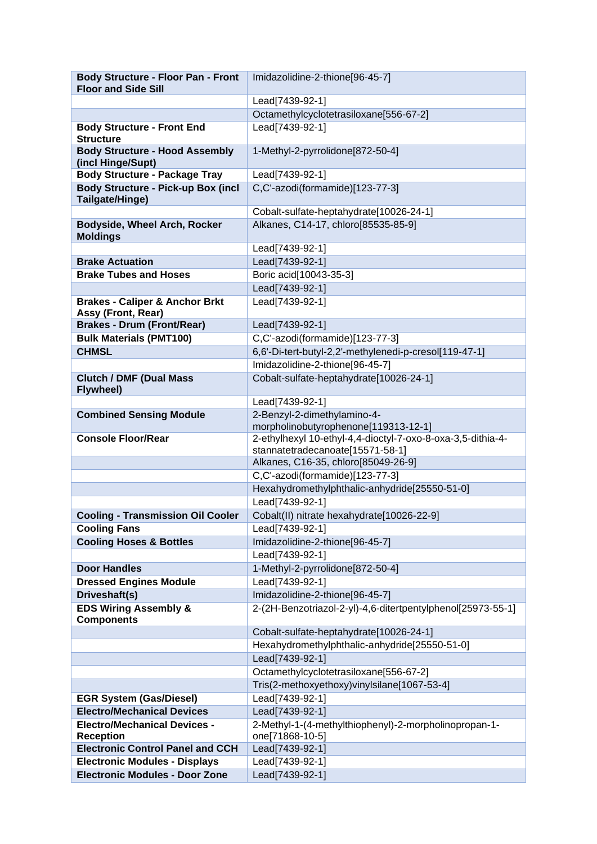| <b>Body Structure - Floor Pan - Front</b><br><b>Floor and Side Sill</b> | Imidazolidine-2-thione[96-45-7]                                                                 |
|-------------------------------------------------------------------------|-------------------------------------------------------------------------------------------------|
|                                                                         | Lead[7439-92-1]                                                                                 |
|                                                                         | Octamethylcyclotetrasiloxane[556-67-2]                                                          |
| <b>Body Structure - Front End</b>                                       | Lead[7439-92-1]                                                                                 |
| <b>Structure</b>                                                        |                                                                                                 |
| <b>Body Structure - Hood Assembly</b><br>(incl Hinge/Supt)              | 1-Methyl-2-pyrrolidone[872-50-4]                                                                |
| <b>Body Structure - Package Tray</b>                                    | Lead[7439-92-1]                                                                                 |
| <b>Body Structure - Pick-up Box (incl</b><br>Tailgate/Hinge)            | C,C'-azodi(formamide)[123-77-3]                                                                 |
|                                                                         | Cobalt-sulfate-heptahydrate[10026-24-1]                                                         |
| Bodyside, Wheel Arch, Rocker                                            | Alkanes, C14-17, chloro[85535-85-9]                                                             |
| <b>Moldings</b>                                                         |                                                                                                 |
|                                                                         | Lead[7439-92-1]                                                                                 |
| <b>Brake Actuation</b>                                                  | Lead[7439-92-1]                                                                                 |
| <b>Brake Tubes and Hoses</b>                                            | Boric acid[10043-35-3]                                                                          |
|                                                                         | Lead[7439-92-1]                                                                                 |
| <b>Brakes - Caliper &amp; Anchor Brkt</b>                               | Lead[7439-92-1]                                                                                 |
| Assy (Front, Rear)                                                      |                                                                                                 |
| <b>Brakes - Drum (Front/Rear)</b>                                       | Lead[7439-92-1]                                                                                 |
| <b>Bulk Materials (PMT100)</b>                                          | C,C'-azodi(formamide)[123-77-3]                                                                 |
| <b>CHMSL</b>                                                            | 6,6'-Di-tert-butyl-2,2'-methylenedi-p-cresol[119-47-1]                                          |
|                                                                         | Imidazolidine-2-thione[96-45-7]                                                                 |
| <b>Clutch / DMF (Dual Mass</b><br><b>Flywheel)</b>                      | Cobalt-sulfate-heptahydrate[10026-24-1]                                                         |
|                                                                         | Lead[7439-92-1]                                                                                 |
| <b>Combined Sensing Module</b>                                          | 2-Benzyl-2-dimethylamino-4-                                                                     |
|                                                                         | morpholinobutyrophenone[119313-12-1]                                                            |
| <b>Console Floor/Rear</b>                                               | 2-ethylhexyl 10-ethyl-4,4-dioctyl-7-oxo-8-oxa-3,5-dithia-4-<br>stannatetradecanoate[15571-58-1] |
|                                                                         | Alkanes, C16-35, chloro[85049-26-9]                                                             |
|                                                                         | C,C'-azodi(formamide)[123-77-3]                                                                 |
|                                                                         | Hexahydromethylphthalic-anhydride[25550-51-0]                                                   |
|                                                                         | Lead[7439-92-1]                                                                                 |
| <b>Cooling - Transmission Oil Cooler</b>                                | Cobalt(II) nitrate hexahydrate[10026-22-9]                                                      |
| <b>Cooling Fans</b>                                                     | Lead[7439-92-1]                                                                                 |
| <b>Cooling Hoses &amp; Bottles</b>                                      | Imidazolidine-2-thione[96-45-7]                                                                 |
|                                                                         | Lead[7439-92-1]                                                                                 |
| <b>Door Handles</b>                                                     | 1-Methyl-2-pyrrolidone[872-50-4]                                                                |
| <b>Dressed Engines Module</b>                                           | Lead[7439-92-1]                                                                                 |
| Driveshaft(s)                                                           | Imidazolidine-2-thione[96-45-7]                                                                 |
| <b>EDS Wiring Assembly &amp;</b><br><b>Components</b>                   | 2-(2H-Benzotriazol-2-yl)-4,6-ditertpentylphenol[25973-55-1]                                     |
|                                                                         | Cobalt-sulfate-heptahydrate[10026-24-1]                                                         |
|                                                                         | Hexahydromethylphthalic-anhydride[25550-51-0]                                                   |
|                                                                         | Lead[7439-92-1]                                                                                 |
|                                                                         | Octamethylcyclotetrasiloxane[556-67-2]                                                          |
|                                                                         | Tris(2-methoxyethoxy)vinylsilane[1067-53-4]                                                     |
| <b>EGR System (Gas/Diesel)</b>                                          | Lead[7439-92-1]                                                                                 |
| <b>Electro/Mechanical Devices</b>                                       | Lead[7439-92-1]                                                                                 |
| <b>Electro/Mechanical Devices -</b>                                     | 2-Methyl-1-(4-methylthiophenyl)-2-morpholinopropan-1-                                           |
| <b>Reception</b>                                                        | one[71868-10-5]                                                                                 |
| <b>Electronic Control Panel and CCH</b>                                 | Lead[7439-92-1]                                                                                 |
| <b>Electronic Modules - Displays</b>                                    | Lead[7439-92-1]                                                                                 |
| <b>Electronic Modules - Door Zone</b>                                   | Lead[7439-92-1]                                                                                 |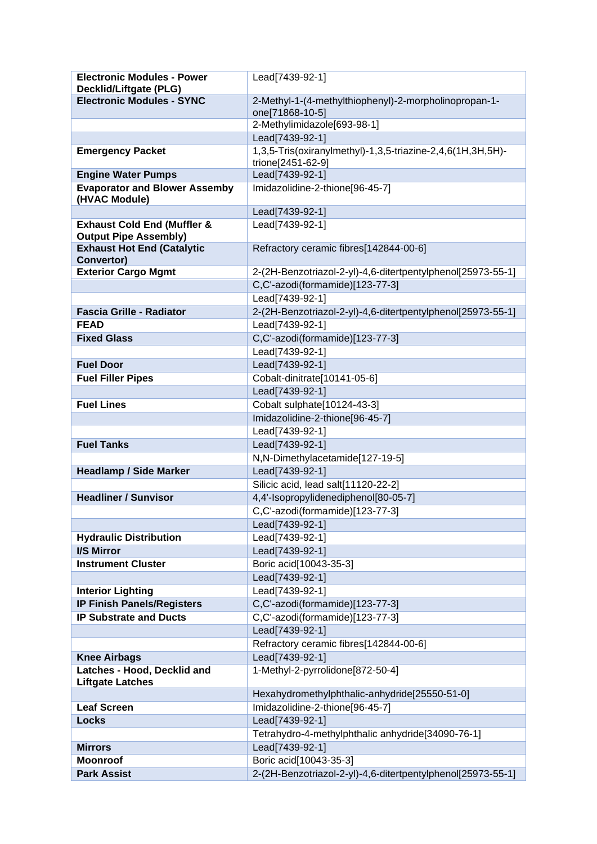| <b>Electronic Modules - Power</b>                  | Lead[7439-92-1]                                             |
|----------------------------------------------------|-------------------------------------------------------------|
| Decklid/Liftgate (PLG)                             |                                                             |
| <b>Electronic Modules - SYNC</b>                   | 2-Methyl-1-(4-methylthiophenyl)-2-morpholinopropan-1-       |
|                                                    | one[71868-10-5]                                             |
|                                                    | 2-Methylimidazole[693-98-1]                                 |
|                                                    | Lead[7439-92-1]                                             |
| <b>Emergency Packet</b>                            | 1,3,5-Tris(oxiranylmethyl)-1,3,5-triazine-2,4,6(1H,3H,5H)-  |
|                                                    | trione[2451-62-9]                                           |
| <b>Engine Water Pumps</b>                          | Lead[7439-92-1]                                             |
| <b>Evaporator and Blower Assemby</b>               | Imidazolidine-2-thione[96-45-7]                             |
| (HVAC Module)                                      |                                                             |
|                                                    | Lead[7439-92-1]                                             |
| <b>Exhaust Cold End (Muffler &amp;</b>             | Lead[7439-92-1]                                             |
| <b>Output Pipe Assembly)</b>                       | Refractory ceramic fibres[142844-00-6]                      |
| <b>Exhaust Hot End (Catalytic</b><br>Convertor)    |                                                             |
| <b>Exterior Cargo Mgmt</b>                         | 2-(2H-Benzotriazol-2-yl)-4,6-ditertpentylphenol[25973-55-1] |
|                                                    | C,C'-azodi(formamide)[123-77-3]                             |
|                                                    | Lead[7439-92-1]                                             |
| <b>Fascia Grille - Radiator</b>                    | 2-(2H-Benzotriazol-2-yl)-4,6-ditertpentylphenol[25973-55-1] |
| <b>FEAD</b>                                        |                                                             |
|                                                    | Lead[7439-92-1]                                             |
| <b>Fixed Glass</b>                                 | C,C'-azodi(formamide)[123-77-3]                             |
|                                                    | Lead[7439-92-1]                                             |
| <b>Fuel Door</b>                                   | Lead[7439-92-1]                                             |
| <b>Fuel Filler Pipes</b>                           | Cobalt-dinitrate[10141-05-6]                                |
|                                                    | Lead[7439-92-1]                                             |
| <b>Fuel Lines</b>                                  | Cobalt sulphate[10124-43-3]                                 |
|                                                    | Imidazolidine-2-thione[96-45-7]                             |
|                                                    | Lead[7439-92-1]                                             |
| <b>Fuel Tanks</b>                                  | Lead[7439-92-1]                                             |
|                                                    | N,N-Dimethylacetamide[127-19-5]                             |
| <b>Headlamp / Side Marker</b>                      | Lead[7439-92-1]                                             |
|                                                    | Silicic acid, lead salt[11120-22-2]                         |
| <b>Headliner / Sunvisor</b>                        | 4,4'-Isopropylidenediphenol[80-05-7]                        |
|                                                    | C,C'-azodi(formamide)[123-77-3]                             |
|                                                    | Lead[7439-92-1]                                             |
| <b>Hydraulic Distribution</b>                      | Lead[7439-92-1]                                             |
| I/S Mirror                                         | Lead[7439-92-1]                                             |
| <b>Instrument Cluster</b>                          | Boric acid[10043-35-3]                                      |
|                                                    | Lead[7439-92-1]                                             |
| <b>Interior Lighting</b>                           | Lead[7439-92-1]                                             |
| <b>IP Finish Panels/Registers</b>                  | C,C'-azodi(formamide)[123-77-3]                             |
| <b>IP Substrate and Ducts</b>                      | C,C'-azodi(formamide)[123-77-3]                             |
|                                                    | Lead[7439-92-1]                                             |
|                                                    | Refractory ceramic fibres[142844-00-6]                      |
|                                                    |                                                             |
| <b>Knee Airbags</b><br>Latches - Hood, Decklid and | Lead[7439-92-1]<br>1-Methyl-2-pyrrolidone[872-50-4]         |
|                                                    |                                                             |
| <b>Liftgate Latches</b>                            | Hexahydromethylphthalic-anhydride[25550-51-0]               |
| <b>Leaf Screen</b>                                 | Imidazolidine-2-thione[96-45-7]                             |
|                                                    | Lead[7439-92-1]                                             |
| <b>Locks</b>                                       |                                                             |
|                                                    | Tetrahydro-4-methylphthalic anhydride[34090-76-1]           |
| <b>Mirrors</b>                                     | Lead[7439-92-1]                                             |
| <b>Moonroof</b>                                    | Boric acid[10043-35-3]                                      |
| <b>Park Assist</b>                                 | 2-(2H-Benzotriazol-2-yl)-4,6-ditertpentylphenol[25973-55-1] |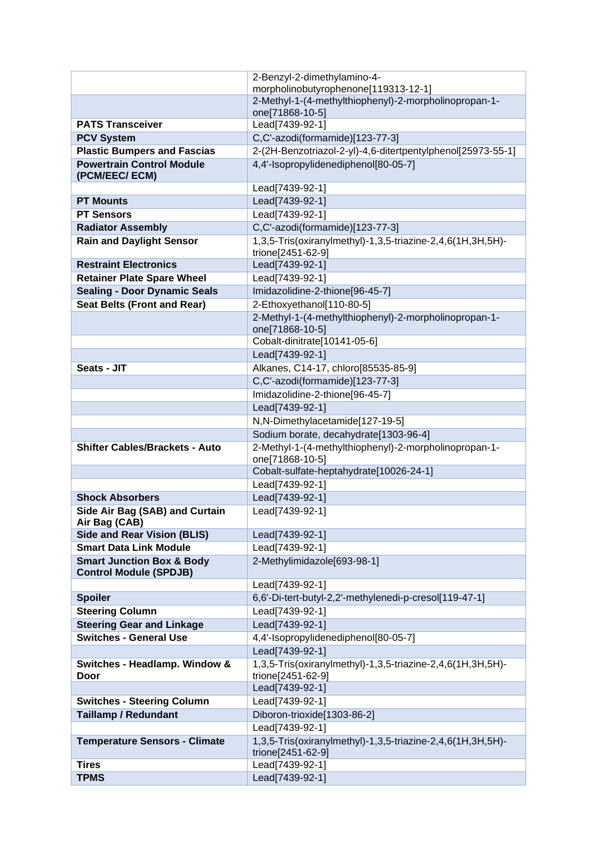|                                                                       | 2-Benzyl-2-dimethylamino-4-                                                     |
|-----------------------------------------------------------------------|---------------------------------------------------------------------------------|
|                                                                       | morpholinobutyrophenone[119313-12-1]                                            |
|                                                                       | 2-Methyl-1-(4-methylthiophenyl)-2-morpholinopropan-1-                           |
|                                                                       | one[71868-10-5]                                                                 |
| <b>PATS Transceiver</b>                                               | Lead[7439-92-1]                                                                 |
| <b>PCV System</b>                                                     | C,C'-azodi(formamide)[123-77-3]                                                 |
| <b>Plastic Bumpers and Fascias</b>                                    | 2-(2H-Benzotriazol-2-yl)-4,6-ditertpentylphenol[25973-55-1]                     |
| <b>Powertrain Control Module</b><br>(PCM/EEC/ ECM)                    | 4,4'-Isopropylidenediphenol[80-05-7]                                            |
|                                                                       | Lead[7439-92-1]                                                                 |
| <b>PT Mounts</b>                                                      | Lead[7439-92-1]                                                                 |
| <b>PT Sensors</b>                                                     | Lead[7439-92-1]                                                                 |
| <b>Radiator Assembly</b>                                              | C,C'-azodi(formamide)[123-77-3]                                                 |
| <b>Rain and Daylight Sensor</b>                                       | 1,3,5-Tris(oxiranylmethyl)-1,3,5-triazine-2,4,6(1H,3H,5H)-                      |
|                                                                       | trione[2451-62-9]                                                               |
| <b>Restraint Electronics</b>                                          | Lead[7439-92-1]                                                                 |
| <b>Retainer Plate Spare Wheel</b>                                     | Lead[7439-92-1]                                                                 |
| <b>Sealing - Door Dynamic Seals</b>                                   | Imidazolidine-2-thione[96-45-7]                                                 |
| <b>Seat Belts (Front and Rear)</b>                                    | 2-Ethoxyethanol[110-80-5]                                                       |
|                                                                       | 2-Methyl-1-(4-methylthiophenyl)-2-morpholinopropan-1-<br>one[71868-10-5]        |
|                                                                       | Cobalt-dinitrate[10141-05-6]                                                    |
|                                                                       | Lead[7439-92-1]                                                                 |
| Seats - JIT                                                           | Alkanes, C14-17, chloro[85535-85-9]                                             |
|                                                                       | C,C'-azodi(formamide)[123-77-3]                                                 |
|                                                                       | Imidazolidine-2-thione[96-45-7]                                                 |
|                                                                       | Lead[7439-92-1]                                                                 |
|                                                                       | N,N-Dimethylacetamide[127-19-5]                                                 |
|                                                                       |                                                                                 |
|                                                                       | Sodium borate, decahydrate[1303-96-4]                                           |
| <b>Shifter Cables/Brackets - Auto</b>                                 | 2-Methyl-1-(4-methylthiophenyl)-2-morpholinopropan-1-<br>one[71868-10-5]        |
|                                                                       | Cobalt-sulfate-heptahydrate[10026-24-1]                                         |
|                                                                       | Lead[7439-92-1]                                                                 |
| <b>Shock Absorbers</b>                                                | Lead[7439-92-1]                                                                 |
| Side Air Bag (SAB) and Curtain                                        | Lead[7439-92-1]                                                                 |
| Air Bag (CAB)<br><b>Side and Rear Vision (BLIS)</b>                   | Lead[7439-92-1]                                                                 |
| <b>Smart Data Link Module</b>                                         | Lead[7439-92-1]                                                                 |
| <b>Smart Junction Box &amp; Body</b><br><b>Control Module (SPDJB)</b> | 2-Methylimidazole[693-98-1]                                                     |
|                                                                       | Lead[7439-92-1]                                                                 |
| <b>Spoiler</b>                                                        | 6,6'-Di-tert-butyl-2,2'-methylenedi-p-cresol[119-47-1]                          |
| <b>Steering Column</b>                                                | Lead[7439-92-1]                                                                 |
| <b>Steering Gear and Linkage</b>                                      | Lead[7439-92-1]                                                                 |
| <b>Switches - General Use</b>                                         | 4,4'-Isopropylidenediphenol[80-05-7]                                            |
|                                                                       | Lead[7439-92-1]                                                                 |
| Switches - Headlamp. Window &<br>Door                                 | 1,3,5-Tris(oxiranylmethyl)-1,3,5-triazine-2,4,6(1H,3H,5H)-<br>trione[2451-62-9] |
|                                                                       | Lead[7439-92-1]                                                                 |
| <b>Switches - Steering Column</b>                                     | Lead[7439-92-1]                                                                 |
| <b>Taillamp / Redundant</b>                                           | Diboron-trioxide[1303-86-2]                                                     |
|                                                                       | Lead[7439-92-1]                                                                 |
| <b>Temperature Sensors - Climate</b>                                  | 1,3,5-Tris(oxiranylmethyl)-1,3,5-triazine-2,4,6(1H,3H,5H)-                      |
| <b>Tires</b>                                                          | trione[2451-62-9]<br>Lead[7439-92-1]                                            |